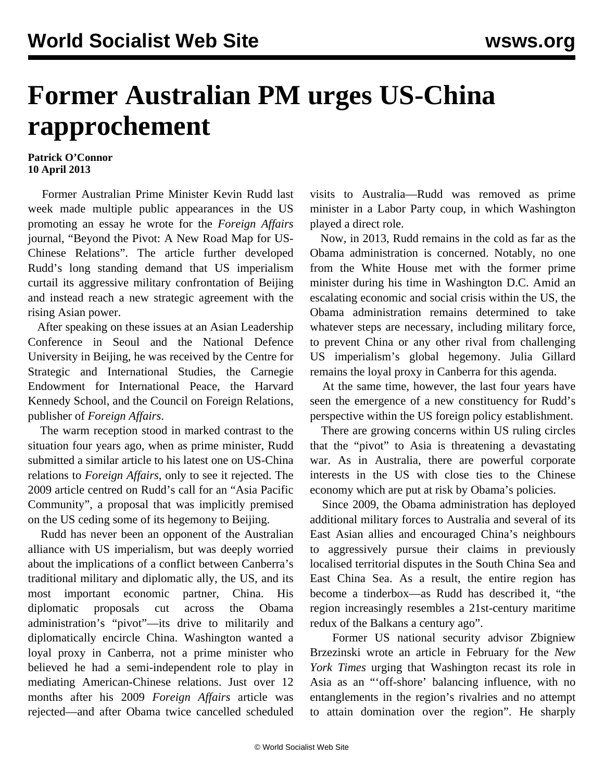## **Former Australian PM urges US-China rapprochement**

## **Patrick O'Connor 10 April 2013**

 Former Australian Prime Minister Kevin Rudd last week made multiple public appearances in the US promoting an essay he wrote for the *Foreign Affairs* journal, "Beyond the Pivot: A New Road Map for US-Chinese Relations". The article further developed Rudd's long standing demand that US imperialism curtail its aggressive military confrontation of Beijing and instead reach a new strategic agreement with the rising Asian power.

 After speaking on these issues at an Asian Leadership Conference in Seoul and the National Defence University in Beijing, he was received by the Centre for Strategic and International Studies, the Carnegie Endowment for International Peace, the Harvard Kennedy School, and the Council on Foreign Relations, publisher of *Foreign Affairs*.

 The warm reception stood in marked contrast to the situation four years ago, when as prime minister, Rudd submitted a similar article to his latest one on US-China relations to *Foreign Affairs*, only to see it rejected. The 2009 article centred on Rudd's call for an "Asia Pacific Community", a proposal that was implicitly premised on the US ceding some of its hegemony to Beijing.

 Rudd has never been an opponent of the Australian alliance with US imperialism, but was deeply worried about the implications of a conflict between Canberra's traditional military and diplomatic ally, the US, and its most important economic partner, China. His diplomatic proposals cut across the Obama administration's "pivot"—its drive to militarily and diplomatically encircle China. Washington wanted a loyal proxy in Canberra, not a prime minister who believed he had a semi-independent role to play in mediating American-Chinese relations. Just over 12 months after his 2009 *Foreign Affairs* article was rejected—and after Obama twice cancelled scheduled visits to Australia—Rudd was removed as prime minister in a Labor Party coup, in which Washington played a direct role.

 Now, in 2013, Rudd remains in the cold as far as the Obama administration is concerned. Notably, no one from the White House met with the former prime minister during his time in Washington D.C. Amid an escalating economic and social crisis within the US, the Obama administration remains determined to take whatever steps are necessary, including military force, to prevent China or any other rival from challenging US imperialism's global hegemony. Julia Gillard remains the loyal proxy in Canberra for this agenda.

 At the same time, however, the last four years have seen the emergence of a new constituency for Rudd's perspective within the US foreign policy establishment.

 There are growing concerns within US ruling circles that the "pivot" to Asia is threatening a devastating war. As in Australia, there are powerful corporate interests in the US with close ties to the Chinese economy which are put at risk by Obama's policies.

 Since 2009, the Obama administration has deployed additional military forces to Australia and several of its East Asian allies and encouraged China's neighbours to aggressively pursue their claims in previously localised territorial disputes in the South China Sea and East China Sea. As a result, the entire region has become a tinderbox—as Rudd has described it, "the region increasingly resembles a 21st-century maritime redux of the Balkans a century ago".

 Former US national security advisor Zbigniew Brzezinski wrote an article in February for the *New York Times* urging that Washington recast its role in Asia as an "'off-shore' balancing influence, with no entanglements in the region's rivalries and no attempt to attain domination over the region". He sharply